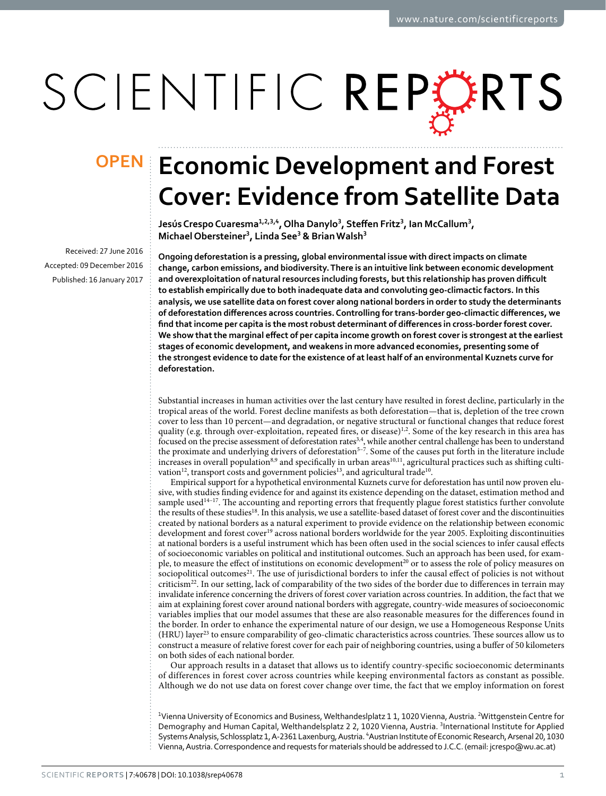# SCIENTIFIC REPERTS

Received: 27 June 2016 accepted: 09 December 2016 Published: 16 January 2017

## **Economic Development and Forest OPENCover: Evidence from Satellite Data**

**Jesús Crespo Cuaresma<sup>1</sup>,2,3,<sup>4</sup>, Olha Danylo3, Steffen Fritz<sup>3</sup>, Ian McCallum<sup>3</sup>, MichaelObersteiner<sup>3</sup>, Linda See<sup>3</sup> & BrianWalsh<sup>3</sup>**

**Ongoing deforestation is a pressing, global environmental issue with direct impacts on climate change, carbon emissions, and biodiversity. There is an intuitive link between economic development and overexploitation of natural resources including forests, but this relationship has proven difficult to establish empirically due to both inadequate data and convoluting geo-climactic factors. In this analysis, we use satellite data on forest cover along national borders in order to study the determinants of deforestation differences across countries. Controlling for trans-border geo-climactic differences, we find that income per capita is the most robust determinant of differences in cross-border forest cover. We show that the marginal effect of per capita income growth on forest cover is strongest at the earliest stages of economic development, and weakens in more advanced economies, presenting some of the strongest evidence to date for the existence of at least half of an environmental Kuznets curve for deforestation.**

Substantial increases in human activities over the last century have resulted in forest decline, particularly in the tropical areas of the world. Forest decline manifests as both deforestation—that is, depletion of the tree crown cover to less than 10 percent—and degradation, or negative structural or functional changes that reduce forest quality (e.g. through over-exploitation, repeated fires, or disease)<sup>1[,2](#page-6-1)</sup>. Some of the key research in this area has focused on the precise assessment of deforestation rates<sup>3[,4](#page-6-3)</sup>, while another central challenge has been to understand the proximate and underlying drivers of deforestation<sup>5-7</sup>. Some of the causes put forth in the literature include increases in overall population<sup>[8,](#page-6-5)9</sup> and specifically in urban areas<sup>10,11</sup>, agricultural practices such as shifting culti-vation<sup>12</sup>, transport costs and government policies<sup>[13](#page-6-10)</sup>, and agricultural trade<sup>10</sup>.

Empirical support for a hypothetical environmental Kuznets curve for deforestation has until now proven elusive, with studies finding evidence for and against its existence depending on the dataset, estimation method and sample used $14-17$ . The accounting and reporting errors that frequently plague forest statistics further convolute the results of these studie[s18.](#page-6-12) In this analysis, we use a satellite-based dataset of forest cover and the discontinuities created by national borders as a natural experiment to provide evidence on the relationship between economic development and forest cover<sup>19</sup> across national borders worldwide for the year 2005. Exploiting discontinuities at national borders is a useful instrument which has been often used in the social sciences to infer causal effects of socioeconomic variables on political and institutional outcomes. Such an approach has been used, for example, to measure the effect of institutions on economic development<sup>20</sup> or to assess the role of policy measures on sociopolitical outcomes<sup>21</sup>. The use of jurisdictional borders to infer the causal effect of policies is not without criticism<sup>[22](#page-7-1)</sup>. In our setting, lack of comparability of the two sides of the border due to differences in terrain may invalidate inference concerning the drivers of forest cover variation across countries. In addition, the fact that we aim at explaining forest cover around national borders with aggregate, country-wide measures of socioeconomic variables implies that our model assumes that these are also reasonable measures for the differences found in the border. In order to enhance the experimental nature of our design, we use a Homogeneous Response Units (HRU) layer<sup>23</sup> to ensure comparability of geo-climatic characteristics across countries. These sources allow us to construct a measure of relative forest cover for each pair of neighboring countries, using a buffer of 50 kilometers on both sides of each national border.

Our approach results in a dataset that allows us to identify country-specific socioeconomic determinants of differences in forest cover across countries while keeping environmental factors as constant as possible. Although we do not use data on forest cover change over time, the fact that we employ information on forest

<sup>1</sup>Vienna University of Economics and Business, Welthandeslplatz 1 1, 1020 Vienna, Austria. <sup>2</sup>Wittgenstein Centre for Demography and Human Capital, Welthandelsplatz 2 2, 1020 Vienna, Austria. <sup>3</sup>International Institute for Applied Systems Analysis, Schlossplatz 1, A-2361 Laxenburg, Austria. 'Austrian Institute of Economic Research, Arsenal 20, 1030 Vienna, Austria. Correspondence and requests for materials should be addressed to J.C.C. (email: [jcrespo@wu.ac.at\)](mailto:jcrespo@wu.ac.at)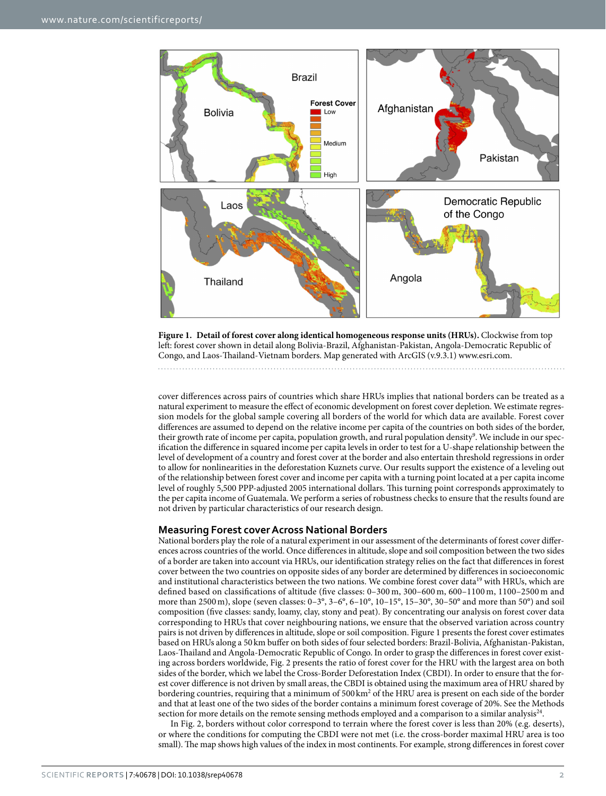

<span id="page-1-0"></span>**Figure 1. Detail of forest cover along identical homogeneous response units (HRUs).** Clockwise from top left: forest cover shown in detail along Bolivia-Brazil, Afghanistan-Pakistan, Angola-Democratic Republic of Congo, and Laos-Thailand-Vietnam borders. Map generated with ArcGIS (v.9.3.1) [www.esri.com](http://www.esri.com).

cover differences across pairs of countries which share HRUs implies that national borders can be treated as a natural experiment to measure the effect of economic development on forest cover depletion. We estimate regression models for the global sample covering all borders of the world for which data are available. Forest cover differences are assumed to depend on the relative income per capita of the countries on both sides of the border, their growth rate of income per capita, population growth, and rural population density<sup>9</sup>. We include in our specification the difference in squared income per capita levels in order to test for a U-shape relationship between the level of development of a country and forest cover at the border and also entertain threshold regressions in order to allow for nonlinearities in the deforestation Kuznets curve. Our results support the existence of a leveling out of the relationship between forest cover and income per capita with a turning point located at a per capita income level of roughly 5,500 PPP-adjusted 2005 international dollars. This turning point corresponds approximately to the per capita income of Guatemala. We perform a series of robustness checks to ensure that the results found are not driven by particular characteristics of our research design.

#### **Measuring Forest cover Across National Borders**

National borders play the role of a natural experiment in our assessment of the determinants of forest cover differences across countries of the world. Once differences in altitude, slope and soil composition between the two sides of a border are taken into account via HRUs, our identification strategy relies on the fact that differences in forest cover between the two countries on opposite sides of any border are determined by differences in socioeconomic and institutional characteristics between the two nations. We combine forest cover data<sup>19</sup> with HRUs, which are defined based on classifications of altitude (five classes: 0–300 m, 300–600 m, 600–1100 m, 1100–2500 m and more than 2500m), slope (seven classes: 0–3°, 3–6°, 6–10°, 10–15°, 15–30°, 30–50° and more than 50°) and soil composition (five classes: sandy, loamy, clay, stony and peat). By concentrating our analysis on forest cover data corresponding to HRUs that cover neighbouring nations, we ensure that the observed variation across country pairs is not driven by differences in altitude, slope or soil composition. [Figure 1](#page-1-0) presents the forest cover estimates based on HRUs along a 50 km buffer on both sides of four selected borders: Brazil-Bolivia, Afghanistan-Pakistan, Laos-Thailand and Angola-Democratic Republic of Congo. In order to grasp the differences in forest cover existing across borders worldwide, [Fig. 2](#page-2-0) presents the ratio of forest cover for the HRU with the largest area on both sides of the border, which we label the Cross-Border Deforestation Index (CBDI). In order to ensure that the forest cover difference is not driven by small areas, the CBDI is obtained using the maximum area of HRU shared by bordering countries, requiring that a minimum of 500 km<sup>2</sup> of the HRU area is present on each side of the border and that at least one of the two sides of the border contains a minimum forest coverage of 20%. See the Methods section for more details on the remote sensing methods employed and a comparison to a similar analysis<sup>24</sup>.

In [Fig. 2,](#page-2-0) borders without color correspond to terrain where the forest cover is less than 20% (e.g. deserts), or where the conditions for computing the CBDI were not met (i.e. the cross-border maximal HRU area is too small). The map shows high values of the index in most continents. For example, strong differences in forest cover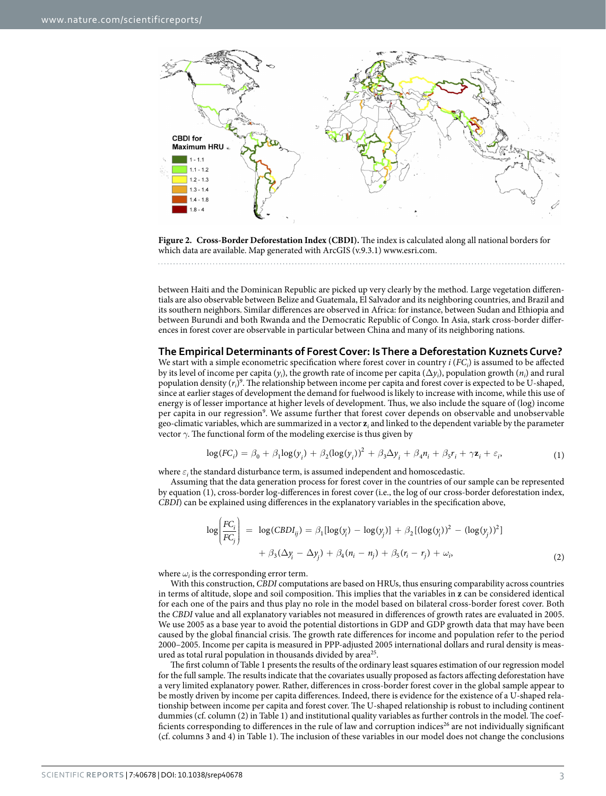

<span id="page-2-0"></span>**Figure 2. Cross-Border Deforestation Index (CBDI).** The index is calculated along all national borders for which data are available. Map generated with ArcGIS (v.9.3.1) [www.esri.com.](http://www.esri.com)

between Haiti and the Dominican Republic are picked up very clearly by the method. Large vegetation differentials are also observable between Belize and Guatemala, El Salvador and its neighboring countries, and Brazil and its southern neighbors. Similar differences are observed in Africa: for instance, between Sudan and Ethiopia and between Burundi and both Rwanda and the Democratic Republic of Congo. In Asia, stark cross-border differences in forest cover are observable in particular between China and many of its neighboring nations.

#### **The Empirical Determinants of Forest Cover: Is There a Deforestation Kuznets Curve?**

We start with a simple econometric specification where forest cover in country  $i$  ( $FC_i$ ) is assumed to be affected by its level of income per capita  $(y_i)$ , the growth rate of income per capita  $(\Delta y_i)$ , population growth  $(n_i)$  and rural population density ( $r_i$ )<sup>[9](#page-6-6)</sup>. The relationship between income per capita and forest cover is expected to be U-shaped, since at earlier stages of development the demand for fuelwood is likely to increase with income, while this use of energy is of lesser importance at higher levels of development. Thus, we also include the square of (log) income per capita in our regression<sup>[9](#page-6-6)</sup>. We assume further that forest cover depends on observable and unobservable geo-climatic variables, which are summarized in a vector **z***<sup>i</sup>* and linked to the dependent variable by the parameter vector  $\gamma$ . The functional form of the modeling exercise is thus given by

$$
\log(FC_i) = \beta_0 + \beta_1 \log(y_i) + \beta_2 (\log(y_i))^2 + \beta_3 \Delta y_i + \beta_4 n_i + \beta_5 r_i + \gamma z_i + \varepsilon_i,
$$
\n(1)

where  $\varepsilon_i$  the standard disturbance term, is assumed independent and homoscedastic.

Assuming that the data generation process for forest cover in the countries of our sample can be represented by equation (1), cross-border log-differences in forest cover (i.e., the log of our cross-border deforestation index, *CBDI*) can be explained using differences in the explanatory variables in the specification above,

$$
\log \left( \frac{FC_i}{FC_j} \right) = \log (CBDI_{ij}) = \beta_1 [\log(y_i) - \log(y_j)] + \beta_2 [(\log(y_i))^2 - (\log(y_j))^2] + \beta_3 (\Delta y_i - \Delta y_j) + \beta_4 (n_i - n_j) + \beta_5 (r_i - r_j) + \omega_i,
$$
\n(2)

where  $\omega_i$  is the corresponding error term.

With this construction, *CBDI* computations are based on HRUs, thus ensuring comparability across countries in terms of altitude, slope and soil composition. This implies that the variables in **z** can be considered identical for each one of the pairs and thus play no role in the model based on bilateral cross-border forest cover. Both the *CBDI* value and all explanatory variables not measured in differences of growth rates are evaluated in 2005. We use 2005 as a base year to avoid the potential distortions in GDP and GDP growth data that may have been caused by the global financial crisis. The growth rate differences for income and population refer to the period 2000–2005. Income per capita is measured in PPP-adjusted 2005 international dollars and rural density is measured as total rural population in thousands divided by area<sup>25</sup>.

The first column of [Table 1](#page-3-0) presents the results of the ordinary least squares estimation of our regression model for the full sample. The results indicate that the covariates usually proposed as factors affecting deforestation have a very limited explanatory power. Rather, differences in cross-border forest cover in the global sample appear to be mostly driven by income per capita differences. Indeed, there is evidence for the existence of a U-shaped relationship between income per capita and forest cover. The U-shaped relationship is robust to including continent dummies (cf. column (2) in [Table 1](#page-3-0)) and institutional quality variables as further controls in the model. The coefficients corresponding to differences in the rule of law and corruption indices<sup>26</sup> are not individually significant (cf. columns 3 and 4) in [Table 1](#page-3-0)). The inclusion of these variables in our model does not change the conclusions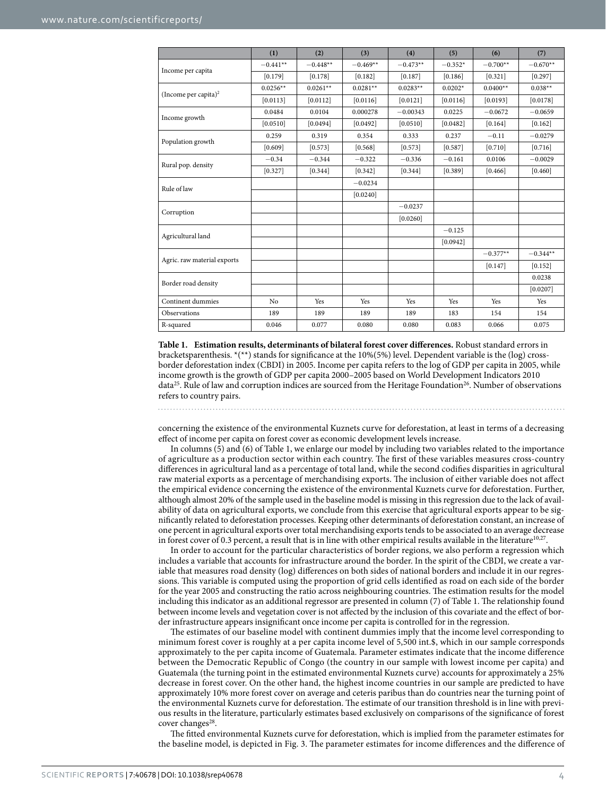<span id="page-3-0"></span>

|                                  | (1)        | (2)        | (3)        | (4)        | (5)       | (6)        | (7)        |
|----------------------------------|------------|------------|------------|------------|-----------|------------|------------|
| Income per capita                | $-0.441**$ | $-0.448**$ | $-0.469**$ | $-0.473**$ | $-0.352*$ | $-0.700**$ | $-0.670**$ |
|                                  | [0.179]    | [0.178]    | [0.182]    | [0.187]    | [0.186]   | [0.321]    | [0.297]    |
| (Income per capita) <sup>2</sup> | $0.0256**$ | $0.0261**$ | $0.0281**$ | $0.0283**$ | $0.0202*$ | $0.0400**$ | $0.038**$  |
|                                  | [0.0113]   | [0.0112]   | [0.0116]   | [0.0121]   | [0.0116]  | [0.0193]   | [0.0178]   |
| Income growth                    | 0.0484     | 0.0104     | 0.000278   | $-0.00343$ | 0.0225    | $-0.0672$  | $-0.0659$  |
|                                  | [0.0510]   | [0.0494]   | [0.0492]   | [0.0510]   | [0.0482]  | [0.164]    | [0.162]    |
| Population growth                | 0.259      | 0.319      | 0.354      | 0.333      | 0.237     | $-0.11$    | $-0.0279$  |
|                                  | [0.609]    | [0.573]    | [0.568]    | [0.573]    | [0.587]   | [0.710]    | [0.716]    |
| Rural pop. density               | $-0.34$    | $-0.344$   | $-0.322$   | $-0.336$   | $-0.161$  | 0.0106     | $-0.0029$  |
|                                  | [0.327]    | [0.344]    | [0.342]    | [0.344]    | [0.389]   | [0.466]    | [0.460]    |
| Rule of law                      |            |            | $-0.0234$  |            |           |            |            |
|                                  |            |            | [0.0240]   |            |           |            |            |
| Corruption                       |            |            |            | $-0.0237$  |           |            |            |
|                                  |            |            |            | [0.0260]   |           |            |            |
| Agricultural land                |            |            |            |            | $-0.125$  |            |            |
|                                  |            |            |            |            | [0.0942]  |            |            |
| Agric. raw material exports      |            |            |            |            |           | $-0.377**$ | $-0.344**$ |
|                                  |            |            |            |            |           | [0.147]    | [0.152]    |
| Border road density              |            |            |            |            |           |            | 0.0238     |
|                                  |            |            |            |            |           |            | [0.0207]   |
| Continent dummies                | No         | Yes        | Yes        | Yes        | Yes       | Yes        | Yes        |
| Observations                     | 189        | 189        | 189        | 189        | 183       | 154        | 154        |
| R-squared                        | 0.046      | 0.077      | 0.080      | 0.080      | 0.083     | 0.066      | 0.075      |

**Table 1. Estimation results, determinants of bilateral forest cover differences.** Robust standard errors in bracketsparenthesis. \*(\*\*) stands for significance at the 10%(5%) level. Dependent variable is the (log) crossborder deforestation index (CBDI) in 2005. Income per capita refers to the log of GDP per capita in 2005, while income growth is the growth of GDP per capita 2000–2005 based on World Development Indicators 2010 data<sup>25</sup>. Rule of law and corruption indices are sourced from the Heritage Foundation<sup>[26](#page-7-5)</sup>. Number of observations refers to country pairs.

concerning the existence of the environmental Kuznets curve for deforestation, at least in terms of a decreasing effect of income per capita on forest cover as economic development levels increase.

In columns (5) and (6) of [Table 1](#page-3-0), we enlarge our model by including two variables related to the importance of agriculture as a production sector within each country. The first of these variables measures cross-country differences in agricultural land as a percentage of total land, while the second codifies disparities in agricultural raw material exports as a percentage of merchandising exports. The inclusion of either variable does not affect the empirical evidence concerning the existence of the environmental Kuznets curve for deforestation. Further, although almost 20% of the sample used in the baseline model is missing in this regression due to the lack of availability of data on agricultural exports, we conclude from this exercise that agricultural exports appear to be significantly related to deforestation processes. Keeping other determinants of deforestation constant, an increase of one percent in agricultural exports over total merchandising exports tends to be associated to an average decrease in forest cover of 0.3 percent, a result that is in line with other empirical results available in the literature<sup>[10,](#page-6-7)27</sup>.

In order to account for the particular characteristics of border regions, we also perform a regression which includes a variable that accounts for infrastructure around the border. In the spirit of the CBDI, we create a variable that measures road density (log) differences on both sides of national borders and include it in our regressions. This variable is computed using the proportion of grid cells identified as road on each side of the border for the year 2005 and constructing the ratio across neighbouring countries. The estimation results for the model including this indicator as an additional regressor are presented in column (7) of [Table 1](#page-3-0). The relationship found between income levels and vegetation cover is not affected by the inclusion of this covariate and the effect of border infrastructure appears insignificant once income per capita is controlled for in the regression.

The estimates of our baseline model with continent dummies imply that the income level corresponding to minimum forest cover is roughly at a per capita income level of 5,500 int.\$, which in our sample corresponds approximately to the per capita income of Guatemala. Parameter estimates indicate that the income difference between the Democratic Republic of Congo (the country in our sample with lowest income per capita) and Guatemala (the turning point in the estimated environmental Kuznets curve) accounts for approximately a 25% decrease in forest cover. On the other hand, the highest income countries in our sample are predicted to have approximately 10% more forest cover on average and ceteris paribus than do countries near the turning point of the environmental Kuznets curve for deforestation. The estimate of our transition threshold is in line with previous results in the literature, particularly estimates based exclusively on comparisons of the significance of forest cover changes $^{28}$  $^{28}$  $^{28}$ .

The fitted environmental Kuznets curve for deforestation, which is implied from the parameter estimates for the baseline model, is depicted in [Fig. 3](#page-4-0). The parameter estimates for income differences and the difference of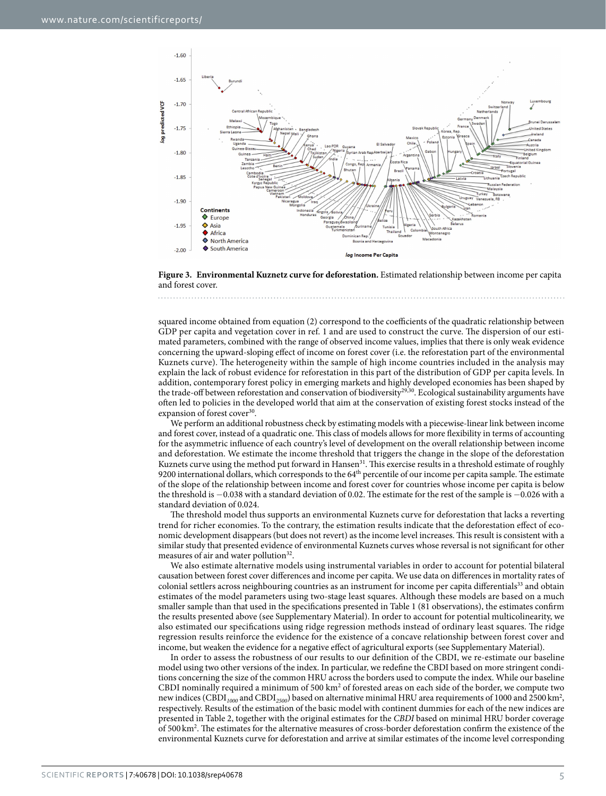

<span id="page-4-0"></span>

squared income obtained from equation (2) correspond to the coefficients of the quadratic relationship between GDP per capita and vegetation cover in ref. [1](#page-6-0) and are used to construct the curve. The dispersion of our estimated parameters, combined with the range of observed income values, implies that there is only weak evidence concerning the upward-sloping effect of income on forest cover (i.e. the reforestation part of the environmental Kuznets curve). The heterogeneity within the sample of high income countries included in the analysis may explain the lack of robust evidence for reforestation in this part of the distribution of GDP per capita levels. In addition, contemporary forest policy in emerging markets and highly developed economies has been shaped by the trade-off between reforestation and conservation of biodiversity<sup>[29](#page-7-8)[,30](#page-7-9)</sup>. Ecological sustainability arguments have often led to policies in the developed world that aim at the conservation of existing forest stocks instead of the expansion of forest cover<sup>[30](#page-7-9)</sup>.

We perform an additional robustness check by estimating models with a piecewise-linear link between income and forest cover, instead of a quadratic one. This class of models allows for more flexibility in terms of accounting for the asymmetric influence of each country's level of development on the overall relationship between income and deforestation. We estimate the income threshold that triggers the change in the slope of the deforestation Kuznets curve using the method put forward in Hansen<sup>31</sup>. This exercise results in a threshold estimate of roughly 9200 international dollars, which corresponds to the 64<sup>th</sup> percentile of our income per capita sample. The estimate of the slope of the relationship between income and forest cover for countries whose income per capita is below the threshold is −0.038 with a standard deviation of 0.02. The estimate for the rest of the sample is −0.026 with a standard deviation of 0.024.

The threshold model thus supports an environmental Kuznets curve for deforestation that lacks a reverting trend for richer economies. To the contrary, the estimation results indicate that the deforestation effect of economic development disappears (but does not revert) as the income level increases. This result is consistent with a similar study that presented evidence of environmental Kuznets curves whose reversal is not significant for other measures of air and water pollution<sup>[32](#page-7-11)</sup>.

We also estimate alternative models using instrumental variables in order to account for potential bilateral causation between forest cover differences and income per capita. We use data on differences in mortality rates of colonial settlers across neighbouring countries as an instrument for income per capita differentials<sup>33</sup> and obtain estimates of the model parameters using two-stage least squares. Although these models are based on a much smaller sample than that used in the specifications presented in [Table 1](#page-3-0) (81 observations), the estimates confirm the results presented above (see Supplementary Material). In order to account for potential multicolinearity, we also estimated our specifications using ridge regression methods instead of ordinary least squares. The ridge regression results reinforce the evidence for the existence of a concave relationship between forest cover and income, but weaken the evidence for a negative effect of agricultural exports (see Supplementary Material).

In order to assess the robustness of our results to our definition of the CBDI, we re-estimate our baseline model using two other versions of the index. In particular, we redefine the CBDI based on more stringent conditions concerning the size of the common HRU across the borders used to compute the index. While our baseline CBDI nominally required a minimum of 500  $km^2$  of forested areas on each side of the border, we compute two new indices (CBDI $_{1000}$  and CBDI $_{2500}$ ) based on alternative minimal HRU area requirements of 1000 and 2500 km<sup>2</sup>, respectively. Results of the estimation of the basic model with continent dummies for each of the new indices are presented in [Table 2,](#page-5-0) together with the original estimates for the *CBDI* based on minimal HRU border coverage of 500 km2 . The estimates for the alternative measures of cross-border deforestation confirm the existence of the environmental Kuznets curve for deforestation and arrive at similar estimates of the income level corresponding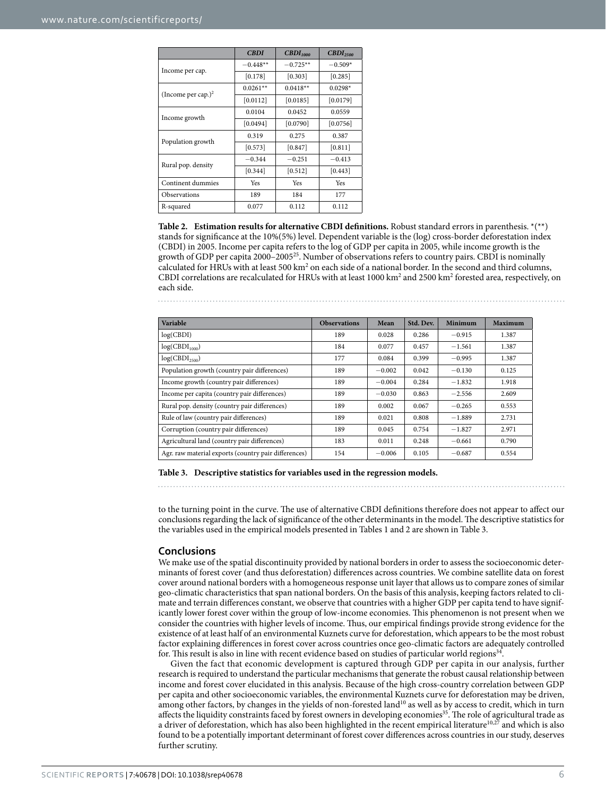<span id="page-5-0"></span>

|                       | <b>CBDI</b> | $\text{CBDI}_{1000}$ | $\text{CBDI}_{2500}$ |  |
|-----------------------|-------------|----------------------|----------------------|--|
| Income per cap.       | $-0.448**$  | $-0.725**$           | $-0.509*$            |  |
|                       | [0.178]     | [0.303]              | [0.285]              |  |
| (Income per cap.) $2$ | $0.0261**$  | $0.0418**$           | $0.0298*$            |  |
|                       | [0.0112]    | [0.0185]             | [0.0179]             |  |
| Income growth         | 0.0104      | 0.0452               | 0.0559               |  |
|                       | [0.0494]    | [0.0790]             | [0.0756]             |  |
| Population growth     | 0.319       | 0.275                | 0.387                |  |
|                       | [0.573]     | $[0.847]$            | [0.811]              |  |
| Rural pop. density    | $-0.344$    | $-0.251$             | $-0.413$             |  |
|                       | [0.344]     | [0.512]              | [0.443]              |  |
| Continent dummies     | Yes         | <b>Yes</b>           | Yes                  |  |
| Observations          | 189         | 184                  | 177                  |  |
| R-squared             | 0.077       | 0.112                | 0.112                |  |

**Table 2. Estimation results for alternative CBDI definitions.** Robust standard errors in parenthesis. \*(\*\*) stands for significance at the 10%(5%) level. Dependent variable is the (log) cross-border deforestation index (CBDI) in 2005. Income per capita refers to the log of GDP per capita in 2005, while income growth is the growth of GDP per capita  $2000-2005^{25}$ . Number of observations refers to country pairs. CBDI is nominally calculated for HRUs with at least 500 km<sup>2</sup> on each side of a national border. In the second and third columns, CBDI correlations are recalculated for HRUs with at least  $1000 \text{ km}^2$  and  $2500 \text{ km}^2$  forested area, respectively, on each side.

<span id="page-5-1"></span>

| Variable                                             | <b>Observations</b> | Mean     | Std. Dev. | Minimum  | Maximum |
|------------------------------------------------------|---------------------|----------|-----------|----------|---------|
| log(CBDI)                                            | 189                 | 0.028    | 0.286     | $-0.915$ | 1.387   |
| $log(CBDI_{1000})$                                   | 184                 | 0.077    | 0.457     | $-1.561$ | 1.387   |
| $log(CBDI_{2500})$                                   | 177                 | 0.084    | 0.399     | $-0.995$ | 1.387   |
| Population growth (country pair differences)         | 189                 | $-0.002$ | 0.042     | $-0.130$ | 0.125   |
| Income growth (country pair differences)             | 189                 | $-0.004$ | 0.284     | $-1.832$ | 1.918   |
| Income per capita (country pair differences)         | 189                 | $-0.030$ | 0.863     | $-2.556$ | 2.609   |
| Rural pop. density (country pair differences)        | 189                 | 0.002    | 0.067     | $-0.265$ | 0.553   |
| Rule of law (country pair differences)               | 189                 | 0.021    | 0.808     | $-1.889$ | 2.731   |
| Corruption (country pair differences)                | 189                 | 0.045    | 0.754     | $-1.827$ | 2.971   |
| Agricultural land (country pair differences)         | 183                 | 0.011    | 0.248     | $-0.661$ | 0.790   |
| Agr. raw material exports (country pair differences) | 154                 | $-0.006$ | 0.105     | $-0.687$ | 0.554   |

**Table 3. Descriptive statistics for variables used in the regression models.**

to the turning point in the curve. The use of alternative CBDI definitions therefore does not appear to affect our conclusions regarding the lack of significance of the other determinants in the model. The descriptive statistics for the variables used in the empirical models presented in [Tables 1](#page-3-0) and [2](#page-5-0) are shown in [Table 3.](#page-5-1)

#### **Conclusions**

We make use of the spatial discontinuity provided by national borders in order to assess the socioeconomic determinants of forest cover (and thus deforestation) differences across countries. We combine satellite data on forest cover around national borders with a homogeneous response unit layer that allows us to compare zones of similar geo-climatic characteristics that span national borders. On the basis of this analysis, keeping factors related to climate and terrain differences constant, we observe that countries with a higher GDP per capita tend to have significantly lower forest cover within the group of low-income economies. This phenomenon is not present when we consider the countries with higher levels of income. Thus, our empirical findings provide strong evidence for the existence of at least half of an environmental Kuznets curve for deforestation, which appears to be the most robust factor explaining differences in forest cover across countries once geo-climatic factors are adequately controlled for. This result is also in line with recent evidence based on studies of particular world regions<sup>[34](#page-7-13)</sup>.

Given the fact that economic development is captured through GDP per capita in our analysis, further research is required to understand the particular mechanisms that generate the robust causal relationship between income and forest cover elucidated in this analysis. Because of the high cross-country correlation between GDP per capita and other socioeconomic variables, the environmental Kuznets curve for deforestation may be driven, among other factors, by changes in the yields of non-forested land<sup>10</sup> as well as by access to credit, which in turn affects the liquidity constraints faced by forest owners in developing economies<sup>[35](#page-7-14)</sup>. The role of agricultural trade as a driver of deforestation, which has also been highlighted in the recent empirical literature<sup>[10](#page-6-7),[27](#page-7-6)</sup> and which is also found to be a potentially important determinant of forest cover differences across countries in our study, deserves further scrutiny.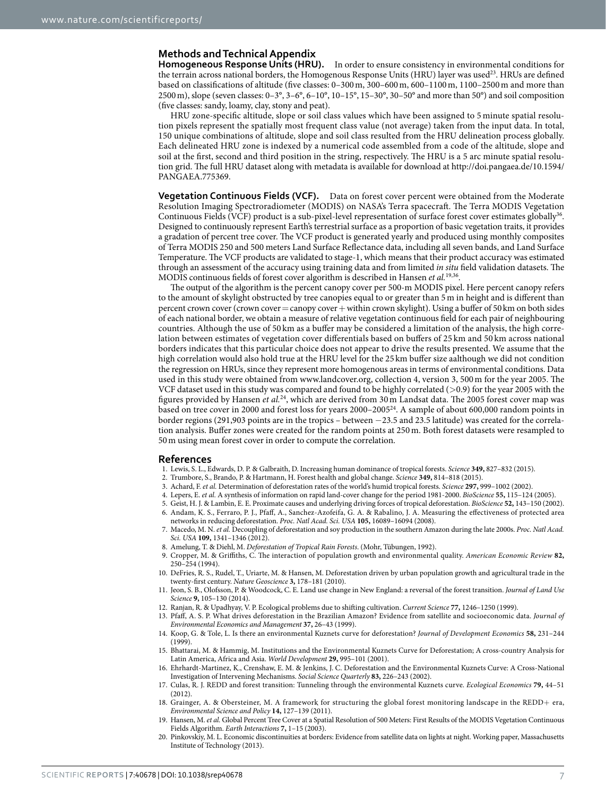### **Methods and Technical Appendix**

**Homogeneous Response Units (HRU).** In order to ensure consistency in environmental conditions for the terrain across national borders, the Homogenous Response Units (HRU) layer was used<sup>[23](#page-7-2)</sup>. HRUs are defined based on classifications of altitude (five classes: 0–300m, 300–600m, 600–1100m, 1100–2500m and more than 2500m), slope (seven classes: 0–3°, 3–6°, 6–10°, 10–15°, 15–30°, 30–50° and more than 50°) and soil composition (five classes: sandy, loamy, clay, stony and peat).

HRU zone-specific altitude, slope or soil class values which have been assigned to 5 minute spatial resolution pixels represent the spatially most frequent class value (not average) taken from the input data. In total, 150 unique combinations of altitude, slope and soil class resulted from the HRU delineation process globally. Each delineated HRU zone is indexed by a numerical code assembled from a code of the altitude, slope and soil at the first, second and third position in the string, respectively. The HRU is a 5 arc minute spatial resolution grid. The full HRU dataset along with metadata is available for download at [http://doi.pangaea.de/10.1594/](http://doi.pangaea.de/10.1594/PANGAEA.775369) [PANGAEA.775369.](http://doi.pangaea.de/10.1594/PANGAEA.775369)

**Vegetation Continuous Fields (VCF).** Data on forest cover percent were obtained from the Moderate Resolution Imaging Spectroradiometer (MODIS) on NASA's Terra spacecraft. The Terra MODIS Vegetation Continuous Fields (VCF) product is a sub-pixel-level representation of surface forest cover estimates globally<sup>36</sup>. Designed to continuously represent Earth's terrestrial surface as a proportion of basic vegetation traits, it provides a gradation of percent tree cover. The VCF product is generated yearly and produced using monthly composites of Terra MODIS 250 and 500 meters Land Surface Reflectance data, including all seven bands, and Land Surface Temperature. The VCF products are validated to stage-1, which means that their product accuracy was estimated through an assessment of the accuracy using training data and from limited *in situ* field validation datasets. The MODIS continuous fields of forest cover algorithm is described in Hansen *et al.*[19,](#page-6-13)[36.](#page-7-15)

The output of the algorithm is the percent canopy cover per 500-m MODIS pixel. Here percent canopy refers to the amount of skylight obstructed by tree canopies equal to or greater than 5m in height and is different than percent crown cover (crown cover = canopy cover + within crown skylight). Using a buffer of 50 km on both sides of each national border, we obtain a measure of relative vegetation continuous field for each pair of neighbouring countries. Although the use of 50 km as a buffer may be considered a limitation of the analysis, the high correlation between estimates of vegetation cover differentials based on buffers of 25 km and 50 km across national borders indicates that this particular choice does not appear to drive the results presented. We assume that the high correlation would also hold true at the HRU level for the 25 km buffer size aalthough we did not condition the regression on HRUs, since they represent more homogenous areas in terms of environmental conditions. Data used in this study were obtained from [www.landcover.org,](http://www.landcover.org) collection 4, version 3, 500m for the year 2005. The VCF dataset used in this study was compared and found to be highly correlated (>0.9) for the year 2005 with the figures provided by Hansen *et al.*[24](#page-7-3), which are derived from 30 m Landsat data. The 2005 forest cover map was based on tree cover in 2000 and forest loss for years 2000–200[524](#page-7-3). A sample of about 600,000 random points in border regions (291,903 points are in the tropics – between −23.5 and 23.5 latitude) was created for the correlation analysis. Buffer zones were created for the random points at 250 m. Both forest datasets were resampled to 50m using mean forest cover in order to compute the correlation.

#### **References**

- <span id="page-6-0"></span>1. Lewis, S. L., Edwards, D. P. & Galbraith, D. Increasing human dominance of tropical forests. *Science* **349,** 827–832 (2015).
- <span id="page-6-2"></span><span id="page-6-1"></span>2. Trumbore, S., Brando, P. & Hartmann, H. Forest health and global change. *Science* **349,** 814–818 (2015).
- 3. Achard, F. *et al.* Determination of deforestation rates of the world's humid tropical forests. *Science* **297,** 999–1002 (2002).
- <span id="page-6-3"></span>4. Lepers, E. *et al.* A synthesis of information on rapid land-cover change for the period 1981-2000. *BioScience* **55,** 115–124 (2005).
- <span id="page-6-4"></span>5. Geist, H. J. & Lambin, E. E. Proximate causes and underlying driving forces of tropical deforestation. *BioScience* **52,** 143–150 (2002).
- 6. Andam, K. S., Ferraro, P. J., Pfaff, A., Sanchez-Azofeifa, G. A. & Rabalino, J. A. Measuring the effectiveness of protected area networks in reducing deforestation. *Proc. Natl Acad. Sci. USA* **105,** 16089–16094 (2008).
- 7. Macedo, M. N. *et al.* Decoupling of deforestation and soy production in the southern Amazon during the late 2000s. *Proc. Natl Acad. Sci. USA* **109,** 1341–1346 (2012).
- <span id="page-6-5"></span>8. Amelung, T. & Diehl, M. *Deforestation of Tropical Rain Forests*. (Mohr, Tübungen, 1992).
- <span id="page-6-6"></span>9. Cropper, M. & Griffiths, C. The interaction of population growth and environmental quality. *American Economic Review* **82,** 250–254 (1994).
- <span id="page-6-7"></span>10. DeFries, R. S., Rudel, T., Uriarte, M. & Hansen, M. Deforestation driven by urban population growth and agricultural trade in the twenty-first century. *Nature Geoscience* **3,** 178–181 (2010).
- <span id="page-6-8"></span>11. Jeon, S. B., Olofsson, P. & Woodcock, C. E. Land use change in New England: a reversal of the forest transition. *Journal of Land Use Science* **9,** 105–130 (2014).
- <span id="page-6-9"></span>12. Ranjan, R. & Upadhyay, V. P. Ecological problems due to shifting cultivation. *Current Science* **77,** 1246–1250 (1999).
- <span id="page-6-10"></span>13. Pfaff, A. S. P. What drives deforestation in the Brazilian Amazon? Evidence from satellite and socioeconomic data. *Journal of Environmental Economics and Management* **37,** 26–43 (1999).
- <span id="page-6-11"></span>14. Koop, G. & Tole, L. Is there an environmental Kuznets curve for deforestation? *Journal of Development Economics* **58,** 231–244  $(1999)$
- 15. Bhattarai, M. & Hammig, M. Institutions and the Environmental Kuznets Curve for Deforestation; A cross-country Analysis for Latin America, Africa and Asia. *World Development* **29,** 995–101 (2001).
- 16. Ehrhardt-Martinez, K., Crenshaw, E. M. & Jenkins, J. C. Deforestation and the Environmental Kuznets Curve: A Cross-National Investigation of Intervening Mechanisms. *Social Science Quarterly* **83,** 226–243 (2002).
- 17. Culas, R. J. REDD and forest transition: Tunneling through the environmental Kuznets curve. *Ecological Economics* **79,** 44–51 (2012).
- <span id="page-6-12"></span>18. Grainger, A. & Obersteiner, M. A framework for structuring the global forest monitoring landscape in the REDD+ era, *Environmental Science and Policy* **14,** 127–139 (2011).
- <span id="page-6-13"></span>19. Hansen, M. *et al.* Global Percent Tree Cover at a Spatial Resolution of 500 Meters: First Results of the MODIS Vegetation Continuous Fields Algorithm. *Earth Interactions* **7,** 1–15 (2003).
- <span id="page-6-14"></span>20. Pinkovskiy, M. L. Economic discontinuities at borders: Evidence from satellite data on lights at night. Working paper, Massachusetts Institute of Technology (2013).